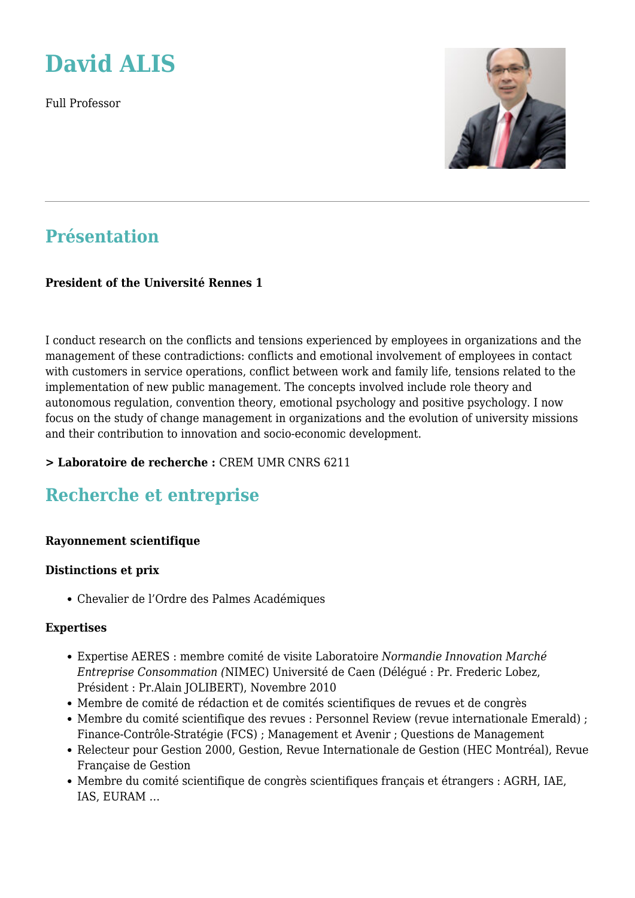

Full Professor



# **Présentation**

## **President of the Université Rennes 1**

I conduct research on the conflicts and tensions experienced by employees in organizations and the management of these contradictions: conflicts and emotional involvement of employees in contact with customers in service operations, conflict between work and family life, tensions related to the implementation of new public management. The concepts involved include role theory and autonomous regulation, convention theory, emotional psychology and positive psychology. I now focus on the study of change management in organizations and the evolution of university missions and their contribution to innovation and socio-economic development.

## **> Laboratoire de recherche :** CREM UMR CNRS 6211

# **Recherche et entreprise**

#### **Rayonnement scientifique**

#### **Distinctions et prix**

Chevalier de l'Ordre des Palmes Académiques

#### **Expertises**

- Expertise AERES : membre comité de visite Laboratoire *Normandie Innovation Marché Entreprise Consommation (*NIMEC) Université de Caen (Délégué : Pr. Frederic Lobez, Président : Pr.Alain JOLIBERT), Novembre 2010
- Membre de comité de rédaction et de comités scientifiques de revues et de congrès
- Membre du comité scientifique des revues : Personnel Review (revue internationale Emerald) ; Finance-Contrôle-Stratégie (FCS) ; Management et Avenir ; Questions de Management
- Relecteur pour Gestion 2000, Gestion, Revue Internationale de Gestion (HEC Montréal), Revue Française de Gestion
- Membre du comité scientifique de congrès scientifiques français et étrangers : AGRH, IAE, IAS, EURAM …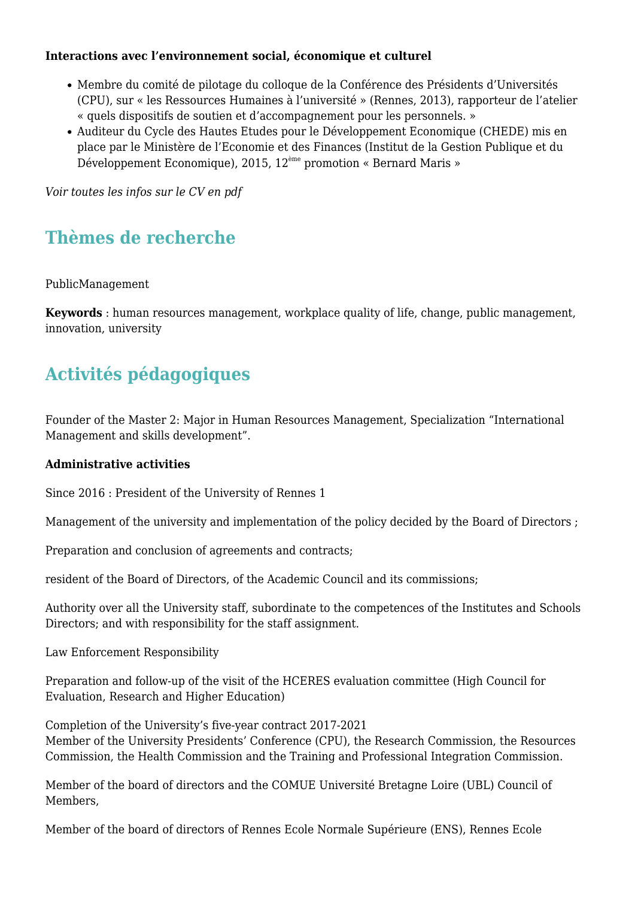#### **Interactions avec l'environnement social, économique et culturel**

- Membre du comité de pilotage du colloque de la Conférence des Présidents d'Universités (CPU), sur « les Ressources Humaines à l'université » (Rennes, 2013), rapporteur de l'atelier « quels dispositifs de soutien et d'accompagnement pour les personnels. »
- Auditeur du Cycle des Hautes Etudes pour le Développement Economique (CHEDE) mis en place par le Ministère de l'Economie et des Finances (Institut de la Gestion Publique et du Développement Economique), 2015, 12ème promotion « Bernard Maris »

*Voir toutes les infos sur le CV en pdf*

# **Thèmes de recherche**

PublicManagement

**Keywords** : human resources management, workplace quality of life, change, public management, innovation, university

# **Activités pédagogiques**

Founder of the Master 2: Major in Human Resources Management, Specialization "International Management and skills development".

## **Administrative activities**

Since 2016 : President of the University of Rennes 1

Management of the university and implementation of the policy decided by the Board of Directors ;

Preparation and conclusion of agreements and contracts;

resident of the Board of Directors, of the Academic Council and its commissions;

Authority over all the University staff, subordinate to the competences of the Institutes and Schools Directors; and with responsibility for the staff assignment.

Law Enforcement Responsibility

Preparation and follow-up of the visit of the HCERES evaluation committee (High Council for Evaluation, Research and Higher Education)

Completion of the University's five-year contract 2017-2021 Member of the University Presidents' Conference (CPU), the Research Commission, the Resources Commission, the Health Commission and the Training and Professional Integration Commission.

Member of the board of directors and the COMUE Université Bretagne Loire (UBL) Council of Members,

Member of the board of directors of Rennes Ecole Normale Supérieure (ENS), Rennes Ecole